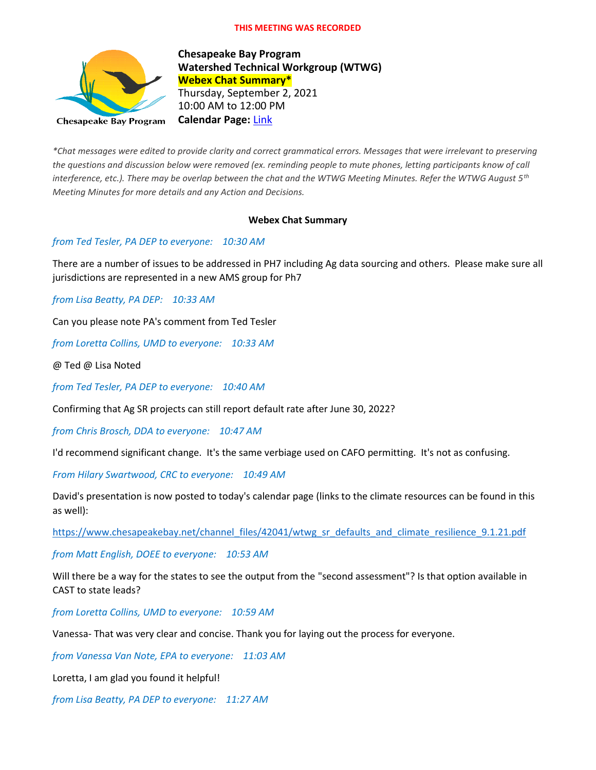#### **THIS MEETING WAS RECORDED**



**Chesapeake Bay Program Watershed Technical Workgroup (WTWG) Webex Chat Summary\*** Thursday, September 2, 2021 10:00 AM to 12:00 PM **Calendar Page:** [Link](https://www.chesapeakebay.net/what/event/watershed_technical_workgroup_conference_call_september_2021)

*\*Chat messages were edited to provide clarity and correct grammatical errors. Messages that were irrelevant to preserving the questions and discussion below were removed (ex. reminding people to mute phones, letting participants know of call interference, etc.). There may be overlap between the chat and the WTWG Meeting Minutes. Refer the WTWG August 5th Meeting Minutes for more details and any Action and Decisions.*

#### **Webex Chat Summary**

#### *from Ted Tesler, PA DEP to everyone: 10:30 AM*

There are a number of issues to be addressed in PH7 including Ag data sourcing and others. Please make sure all jurisdictions are represented in a new AMS group for Ph7

*from Lisa Beatty, PA DEP: 10:33 AM*

Can you please note PA's comment from Ted Tesler

*from Loretta Collins, UMD to everyone: 10:33 AM*

@ Ted @ Lisa Noted

*from Ted Tesler, PA DEP to everyone: 10:40 AM*

Confirming that Ag SR projects can still report default rate after June 30, 2022?

*from Chris Brosch, DDA to everyone: 10:47 AM*

I'd recommend significant change. It's the same verbiage used on CAFO permitting. It's not as confusing.

*From Hilary Swartwood, CRC to everyone: 10:49 AM*

David's presentation is now posted to today's calendar page (links to the climate resources can be found in this as well):

[https://www.chesapeakebay.net/channel\\_files/42041/wtwg\\_sr\\_defaults\\_and\\_climate\\_resilience\\_9.1.21.pdf](https://www.chesapeakebay.net/channel_files/42041/wtwg_sr_defaults_and_climate_resilience_9.1.21.pdf)

*from Matt English, DOEE to everyone: 10:53 AM*

Will there be a way for the states to see the output from the "second assessment"? Is that option available in CAST to state leads?

*from Loretta Collins, UMD to everyone: 10:59 AM*

Vanessa- That was very clear and concise. Thank you for laying out the process for everyone.

*from Vanessa Van Note, EPA to everyone: 11:03 AM*

Loretta, I am glad you found it helpful!

*from Lisa Beatty, PA DEP to everyone: 11:27 AM*